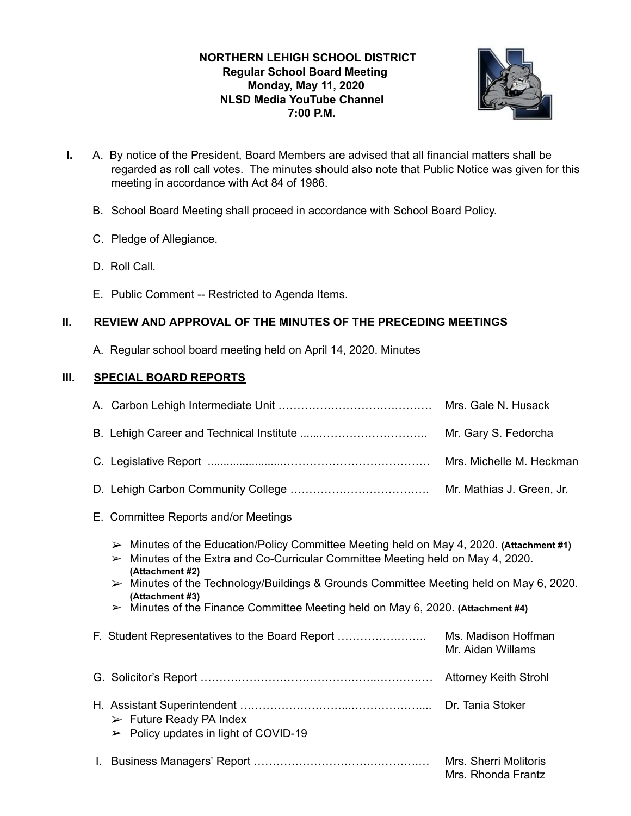# **NORTHERN LEHIGH SCHOOL DISTRICT Regular School Board Meeting Monday, May 11, 2020 NLSD Media YouTube Channel 7:00 P.M.**



- **I.** A. By notice of the President, Board Members are advised that all financial matters shall be regarded as roll call votes. The minutes should also note that Public Notice was given for this meeting in accordance with Act 84 of 1986.
	- B. School Board Meeting shall proceed in accordance with School Board Policy.
	- C. Pledge of Allegiance.
	- D. Roll Call.
	- E. Public Comment -- Restricted to Agenda Items.

# **II. REVIEW AND APPROVAL OF THE MINUTES OF THE PRECEDING MEETINGS**

A. Regular school board meeting held on April 14, 2020. Minutes

# **III. SPECIAL BOARD REPORTS**

|  | Mrs. Gale N. Husack      |
|--|--------------------------|
|  |                          |
|  | Mrs. Michelle M. Heckman |
|  |                          |

- E. Committee Reports and/or Meetings
	- ➢ Minutes of the Education/Policy Committee Meeting held on May 4, 2020. **(Attachment #1)**
	- $\triangleright$  Minutes of the Extra and Co-Curricular Committee Meeting held on May 4, 2020. **(Attachment #2)**
	- ➢ Minutes of the Technology/Buildings & Grounds Committee Meeting held on May 6, 2020. **(Attachment #3)**
	- ➢ Minutes of the Finance Committee Meeting held on May 6, 2020. **(Attachment #4)**
- F. Student Representatives to the Board Report …………….…….. Ms. Madison Hoffman Mr. Aidan Willams G. Solicitor's Report ………………………………………..…………… Attorney Keith Strohl H. Assistant Superintendent ………………………...……………….... Dr. Tania Stoker  $\triangleright$  Future Ready PA Index  $\geq$  Policy updates in light of COVID-19 I. Business Managers' Report ………………………….………….… Mrs. Sherri Molitoris Mrs. Rhonda Frantz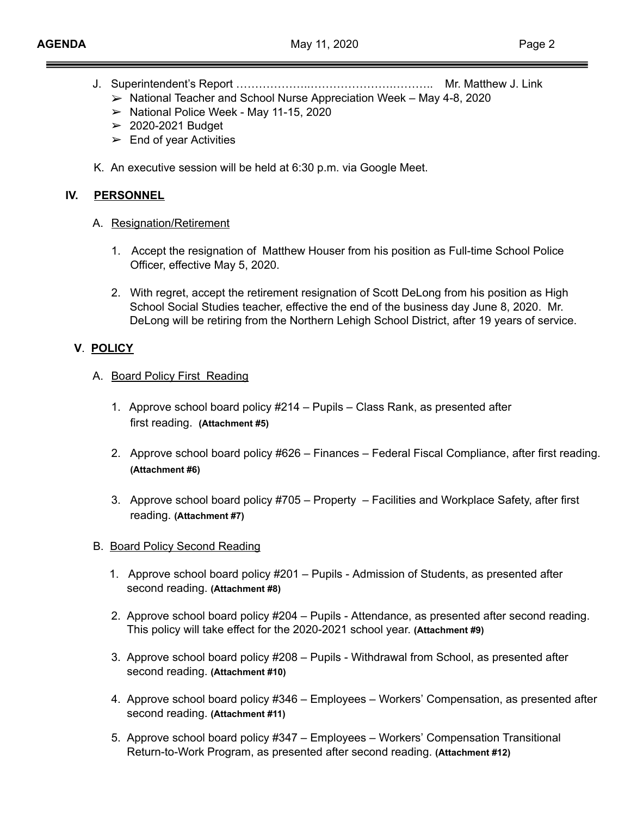- J. Superintendent's Report ………………..………………….……….. Mr. Matthew J. Link
	- $\triangleright$  National Teacher and School Nurse Appreciation Week May 4-8, 2020
	- ➢ National Police Week May 11-15, 2020
	- $\geq$  2020-2021 Budget
	- $\blacktriangleright$  End of year Activities
- K. An executive session will be held at 6:30 p.m. via Google Meet.

## **IV. PERSONNEL**

- A. Resignation/Retirement
	- 1. Accept the resignation of Matthew Houser from his position as Full-time School Police Officer, effective May 5, 2020.
	- 2. With regret, accept the retirement resignation of Scott DeLong from his position as High School Social Studies teacher, effective the end of the business day June 8, 2020. Mr. DeLong will be retiring from the Northern Lehigh School District, after 19 years of service.

## **V**. **POLICY**

- A. Board Policy First Reading
	- 1. Approve school board policy #214 Pupils Class Rank, as presented after first reading. **(Attachment #5)**
	- 2. Approve school board policy #626 Finances Federal Fiscal Compliance, after first reading. **(Attachment #6)**
	- 3. Approve school board policy #705 Property Facilities and Workplace Safety, after first reading. **(Attachment #7)**
- B. Board Policy Second Reading
	- 1. Approve school board policy #201 Pupils Admission of Students, as presented after second reading. **(Attachment #8)**
	- 2. Approve school board policy #204 Pupils Attendance, as presented after second reading. This policy will take effect for the 2020-2021 school year. **(Attachment #9)**
	- 3. Approve school board policy #208 Pupils Withdrawal from School, as presented after second reading. **(Attachment #10)**
	- 4. Approve school board policy #346 Employees Workers' Compensation, as presented after second reading. **(Attachment #11)**
	- 5. Approve school board policy #347 Employees Workers' Compensation Transitional Return-to-Work Program, as presented after second reading. **(Attachment #12)**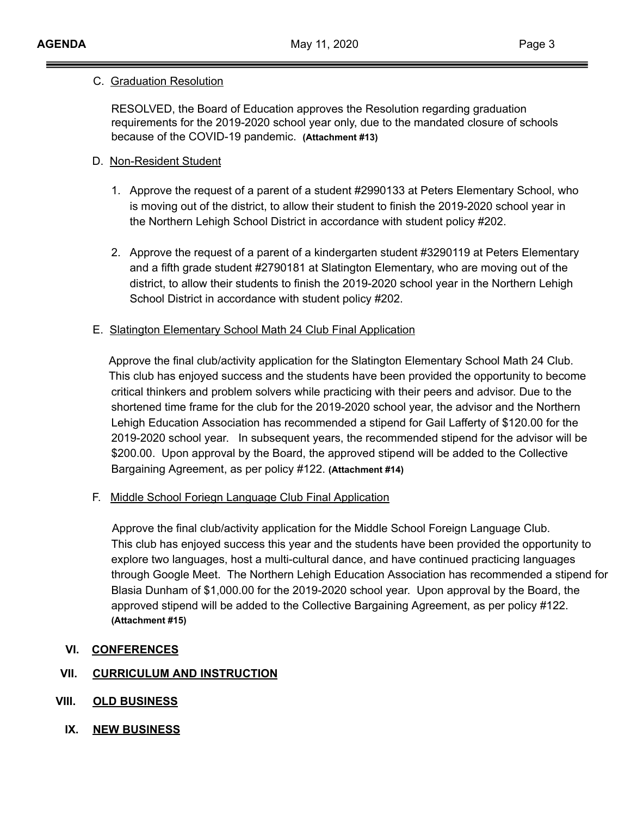#### C. Graduation Resolution

RESOLVED, the Board of Education approves the Resolution regarding graduation requirements for the 2019-2020 school year only, due to the mandated closure of schools because of the COVID-19 pandemic. **(Attachment #13)** 

# D. Non-Resident Student

- 1. Approve the request of a parent of a student #2990133 at Peters Elementary School, who is moving out of the district, to allow their student to finish the 2019-2020 school year in the Northern Lehigh School District in accordance with student policy #202.
- 2. Approve the request of a parent of a kindergarten student #3290119 at Peters Elementary and a fifth grade student #2790181 at Slatington Elementary, who are moving out of the district, to allow their students to finish the 2019-2020 school year in the Northern Lehigh School District in accordance with student policy #202.

# E. Slatington Elementary School Math 24 Club Final Application

Approve the final club/activity application for the Slatington Elementary School Math 24 Club. This club has enjoyed success and the students have been provided the opportunity to become critical thinkers and problem solvers while practicing with their peers and advisor. Due to the shortened time frame for the club for the 2019-2020 school year, the advisor and the Northern Lehigh Education Association has recommended a stipend for Gail Lafferty of \$120.00 for the 2019-2020 school year. In subsequent years, the recommended stipend for the advisor will be \$200.00. Upon approval by the Board, the approved stipend will be added to the Collective Bargaining Agreement, as per policy #122. **(Attachment #14)** 

F. Middle School Foriegn Language Club Final Application

Approve the final club/activity application for the Middle School Foreign Language Club. This club has enjoyed success this year and the students have been provided the opportunity to explore two languages, host a multi-cultural dance, and have continued practicing languages through Google Meet. The Northern Lehigh Education Association has recommended a stipend for Blasia Dunham of \$1,000.00 for the 2019-2020 school year. Upon approval by the Board, the approved stipend will be added to the Collective Bargaining Agreement, as per policy #122. **(Attachment #15)** 

## **VI. CONFERENCES**

## **VII. CURRICULUM AND INSTRUCTION**

- **VIII. OLD BUSINESS**
	- **IX. NEW BUSINESS**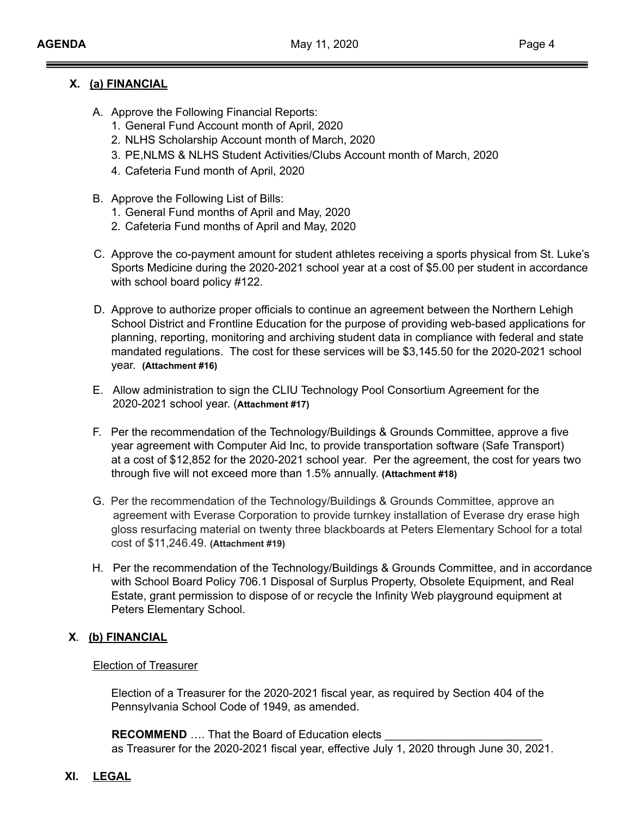# **X. (a) FINANCIAL**

- A. Approve the Following Financial Reports:
	- 1. General Fund Account month of April, 2020
	- 2. NLHS Scholarship Account month of March, 2020
	- 3. PE,NLMS & NLHS Student Activities/Clubs Account month of March, 2020
	- 4. Cafeteria Fund month of April, 2020
- B. Approve the Following List of Bills:
	- 1. General Fund months of April and May, 2020
	- 2. Cafeteria Fund months of April and May, 2020
- C. Approve the co-payment amount for student athletes receiving a sports physical from St. Luke's Sports Medicine during the 2020-2021 school year at a cost of \$5.00 per student in accordance with school board policy #122.
- D. Approve to authorize proper officials to continue an agreement between the Northern Lehigh School District and Frontline Education for the purpose of providing web-based applications for planning, reporting, monitoring and archiving student data in compliance with federal and state mandated regulations. The cost for these services will be \$3,145.50 for the 2020-2021 school year. **(Attachment #16)**
- E. Allow administration to sign the CLIU Technology Pool Consortium Agreement for the 2020-2021 school year. (**Attachment #17)**
- F. Per the recommendation of the Technology/Buildings & Grounds Committee, approve a five year agreement with Computer Aid Inc, to provide transportation software (Safe Transport) at a cost of \$12,852 for the 2020-2021 school year. Per the agreement, the cost for years two through five will not exceed more than 1.5% annually. **(Attachment #18)**
- G. Per the recommendation of the Technology/Buildings & Grounds Committee, approve an agreement with Everase Corporation to provide turnkey installation of Everase dry erase high gloss resurfacing material on twenty three blackboards at Peters Elementary School for a total cost of \$11,246.49. **(Attachment #19)**
- H. Per the recommendation of the Technology/Buildings & Grounds Committee, and in accordance with School Board Policy 706.1 Disposal of Surplus Property, Obsolete Equipment, and Real Estate, grant permission to dispose of or recycle the Infinity Web playground equipment at Peters Elementary School.

# **X**. **(b) FINANCIAL**

Election of Treasurer

Election of a Treasurer for the 2020-2021 fiscal year, as required by Section 404 of the Pennsylvania School Code of 1949, as amended.

**RECOMMEND** .... That the Board of Education elects as Treasurer for the 2020-2021 fiscal year, effective July 1, 2020 through June 30, 2021.

## **XI. LEGAL**